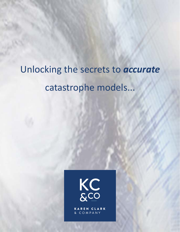# Unlocking the secrets to *accurate* catastrophe models...



KAREN CLARK & COMPANY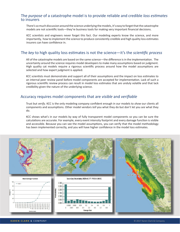#### The *purpose* of a catastrophe model is to provide reliable and credible *loss estimates* to insurers

There's so much discussion around the science underlying the models, it's easy to forget that the catastrophe models are not scientific tools—they're business tools for making very important financial decisions.

KCC scientists and engineers never forget this fact. Our modeling experts know the science, and more importantly, how to implement the science to produce consistently credible and high quality loss estimates insurers can have confidence in.

## The *key* to high quality loss estimates is not the science—it's the *scientific process*

All of the catastrophe models are based on the same science—the difference is in the implementation. The uncertainty around the science requires model developers to make many assumptions based on judgment. High quality cat models require a rigorous scientific process around how the model assumptions are selected and how expert judgment is applied.

KCC scientists must demonstrate and support all of their assumptions and the impact on loss estimates to an internal peer review panel before model components are accepted for implementation. Lack of such a rigorous scientific review process can result in model loss estimates that are unduly volatile and that lack credibility given the nature of the underlying science.

## Accuracy requires model components that are *visible* and *verifi able*

Trust but *verify*. KCC is the only modeling company confident enough in our models to *show* our clients all components and assumptions. Other model vendors *tell* you what they do but don't let you *see* what they do.

KCC shows what's in our models by way of fully transparent model components so you can be sure the calculations are accurate. For example, every event intensity footprint and every damage function is visible and accessible. Because you can see the model assumptions, you can verify that the model methodology has been implemented correctly, and you will have higher confidence in the model loss estimates.

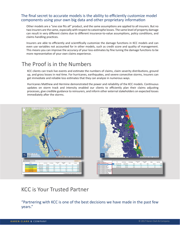## The final secret to accurate models is the ability to efficiently customize model components using your own big data and other proprietary information

Other models are a "one size fits all" product, and the same assumptions are applied to all insurers. But no two insurers are the same, especially with respect to catastrophe losses. The same level of property damage can result in very different claims due to different insurance-to-value assumptions, policy conditions, and claims handling practices.

Insurers are able to efficiently and scientifically customize the damage functions in KCC models and can even use variables not accounted for in other models, such as credit score and quality of management. This means you can improve the accuracy of your loss estimates by fine tuning the damage functions to be more representative of your own claims experience.

## The Proof is in the Numbers

KCC clients can track live events and estimate the numbers of claims, claim severity distributions, ground up, and gross losses in real time. For hurricanes, earthquakes, and severe convective storms, insurers can get immediate and reliable loss estimates that they can analyze in numerous ways.

Hurricanes Matthew and Hermine demonstrated the power and reliability of the KCC models. Continuous updates on storm track and intensity enabled our clients to efficiently plan their claims adjusting processes, give credible guidance to reinsurers, and inform other external stakeholders on expected losses immediately after the storms.



## KCC is Your Trusted Partner  $\alpha$  new level and proven that catastrophe models can produce models can produce models can produce more accurate.

"Partnering with KCC is one of the best decisions we have made in the past few years."